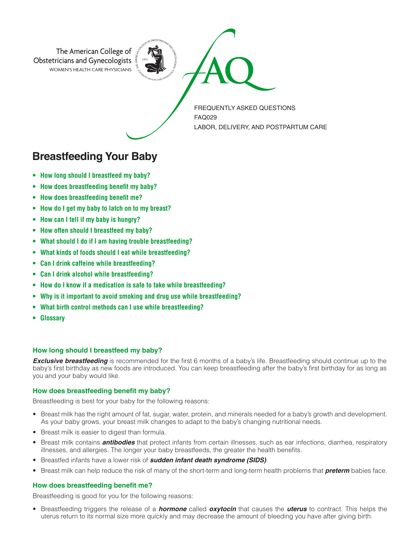

# **Breastfeeding Your Baby**

- **• How long should I breastfeed my baby?**
- **• How does breastfeeding benefit my baby?**
- **• How does breastfeeding benefit me?**
- **• How do I get my baby to latch on to my breast?**
- **• How can I tell if my baby is hungry?**
- **• How often should I breastfeed my baby?**
- **• What should I do if I am having trouble breastfeeding?**
- **• What kinds of foods should I eat while breastfeeding?**
- **• Can I drink caffeine while breastfeeding?**
- **• Can I drink alcohol while breastfeeding?**
- **• How do I know if a medication is safe to take while breastfeeding?**
- **• Why is it important to avoid smoking and drug use while breastfeeding?**
- **• What birth control methods can I use while breastfeeding?**
- **• Glossary**

# **How long should I breastfeed my baby?**

**Exclusive breastfeeding** is recommended for the first 6 months of a baby's life. Breastfeeding should continue up to the baby's first birthday as new foods are introduced. You can keep breastfeeding after the baby's first birthday for as long as you and your baby would like.

# **How does breastfeeding benefit my baby?**

Breastfeeding is best for your baby for the following reasons:

- Breast milk has the right amount of fat, sugar, water, protein, and minerals needed for a baby's growth and development. As your baby grows, your breast milk changes to adapt to the baby's changing nutritional needs.
- Breast milk is easier to digest than formula.
- Breast milk contains *antibodies* that protect infants from certain illnesses, such as ear infections, diarrhea, respiratory illnesses, and allergies. The longer your baby breastfeeds, the greater the health benefits.
- Breastfed infants have a lower risk of *sudden infant death syndrome (SIDS)*.
- Breast milk can help reduce the risk of many of the short-term and long-term health problems that *preterm* babies face.

# **How does breastfeeding benefit me?**

Breastfeeding is good for you for the following reasons:

• Breastfeeding triggers the release of a *hormone* called *oxytocin* that causes the *uterus* to contract. This helps the uterus return to its normal size more quickly and may decrease the amount of bleeding you have after giving birth.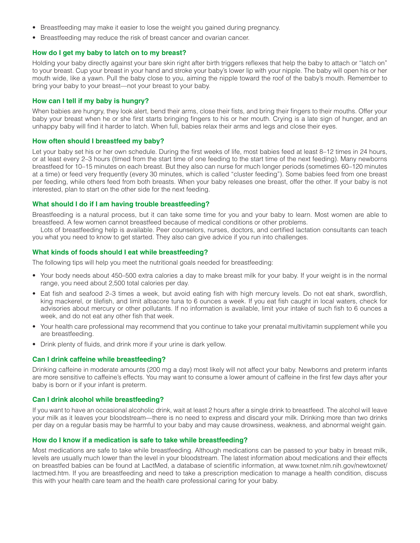- Breastfeeding may make it easier to lose the weight you gained during pregnancy.
- Breastfeeding may reduce the risk of breast cancer and ovarian cancer.

## **How do I get my baby to latch on to my breast?**

Holding your baby directly against your bare skin right after birth triggers reflexes that help the baby to attach or "latch on" to your breast. Cup your breast in your hand and stroke your baby's lower lip with your nipple. The baby will open his or her mouth wide, like a yawn. Pull the baby close to you, aiming the nipple toward the roof of the baby's mouth. Remember to bring your baby to your breast—not your breast to your baby.

# **How can I tell if my baby is hungry?**

When babies are hungry, they look alert, bend their arms, close their fists, and bring their fingers to their mouths. Offer your baby your breast when he or she first starts bringing fingers to his or her mouth. Crying is a late sign of hunger, and an unhappy baby will find it harder to latch. When full, babies relax their arms and legs and close their eyes.

## **How often should I breastfeed my baby?**

Let your baby set his or her own schedule. During the first weeks of life, most babies feed at least 8–12 times in 24 hours, or at least every 2–3 hours (timed from the start time of one feeding to the start time of the next feeding). Many newborns breastfeed for 10–15 minutes on each breast. But they also can nurse for much longer periods (sometimes 60–120 minutes at a time) or feed very frequently (every 30 minutes, which is called "cluster feeding"). Some babies feed from one breast per feeding, while others feed from both breasts. When your baby releases one breast, offer the other. If your baby is not interested, plan to start on the other side for the next feeding.

## **What should I do if I am having trouble breastfeeding?**

Breastfeeding is a natural process, but it can take some time for you and your baby to learn. Most women are able to breastfeed. A few women cannot breastfeed because of medical conditions or other problems.

Lots of breastfeeding help is available. Peer counselors, nurses, doctors, and certified lactation consultants can teach you what you need to know to get started. They also can give advice if you run into challenges.

## **What kinds of foods should I eat while breastfeeding?**

The following tips will help you meet the nutritional goals needed for breastfeeding:

- Your body needs about 450–500 extra calories a day to make breast milk for your baby. If your weight is in the normal range, you need about 2,500 total calories per day.
- Eat fish and seafood 2–3 times a week, but avoid eating fish with high mercury levels. Do not eat shark, swordfish, king mackerel, or tilefish, and limit albacore tuna to 6 ounces a week. If you eat fish caught in local waters, check for advisories about mercury or other pollutants. If no information is available, limit your intake of such fish to 6 ounces a week, and do not eat any other fish that week.
- Your health care professional may recommend that you continue to take your prenatal multivitamin supplement while you are breastfeeding.
- Drink plenty of fluids, and drink more if your urine is dark yellow.

#### **Can I drink caffeine while breastfeeding?**

Drinking caffeine in moderate amounts (200 mg a day) most likely will not affect your baby. Newborns and preterm infants are more sensitive to caffeine's effects. You may want to consume a lower amount of caffeine in the first few days after your baby is born or if your infant is preterm.

#### **Can I drink alcohol while breastfeeding?**

If you want to have an occasional alcoholic drink, wait at least 2 hours after a single drink to breastfeed. The alcohol will leave your milk as it leaves your bloodstream—there is no need to express and discard your milk. Drinking more than two drinks per day on a regular basis may be harmful to your baby and may cause drowsiness, weakness, and abnormal weight gain.

#### **How do I know if a medication is safe to take while breastfeeding?**

Most medications are safe to take while breastfeeding. Although medications can be passed to your baby in breast milk, levels are usually much lower than the level in your bloodstream. The latest information about medications and their effects on breastfed babies can be found at LactMed, a database of scientific information, at www.toxnet.nlm.nih.gov/newtoxnet/ lactmed.htm. If you are breastfeeding and need to take a prescription medication to manage a health condition, discuss this with your health care team and the health care professional caring for your baby.